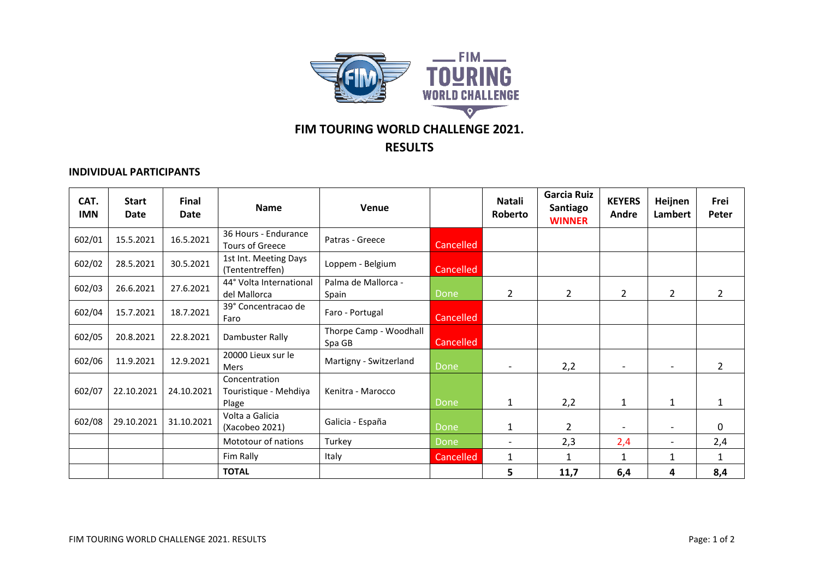

## **FIM TOURING WORLD CHALLENGE 2021.**

## **RESULTS**

## **INDIVIDUAL PARTICIPANTS**

| CAT.<br><b>IMN</b> | <b>Start</b><br><b>Date</b> | Final<br>Date | <b>Name</b>                                     | <b>Venue</b>                     |           | Natali<br>Roberto        | <b>Garcia Ruiz</b><br>Santiago<br><b>WINNER</b> | <b>KEYERS</b><br>Andre | Heijnen<br>Lambert       | Frei<br>Peter  |
|--------------------|-----------------------------|---------------|-------------------------------------------------|----------------------------------|-----------|--------------------------|-------------------------------------------------|------------------------|--------------------------|----------------|
| 602/01             | 15.5.2021                   | 16.5.2021     | 36 Hours - Endurance<br>Tours of Greece         | Patras - Greece                  | Cancelled |                          |                                                 |                        |                          |                |
| 602/02             | 28.5.2021                   | 30.5.2021     | 1st Int. Meeting Days<br>(Tententreffen)        | Loppem - Belgium                 | Cancelled |                          |                                                 |                        |                          |                |
| 602/03             | 26.6.2021                   | 27.6.2021     | 44° Volta International<br>del Mallorca         | Palma de Mallorca -<br>Spain     | Done      | $\overline{2}$           | $\overline{2}$                                  | $\overline{2}$         | $\overline{2}$           | $\overline{2}$ |
| 602/04             | 15.7.2021                   | 18.7.2021     | 39° Concentracao de<br>Faro                     | Faro - Portugal                  | Cancelled |                          |                                                 |                        |                          |                |
| 602/05             | 20.8.2021                   | 22.8.2021     | Dambuster Rally                                 | Thorpe Camp - Woodhall<br>Spa GB | Cancelled |                          |                                                 |                        |                          |                |
| 602/06             | 11.9.2021                   | 12.9.2021     | 20000 Lieux sur le<br>Mers                      | Martigny - Switzerland           | Done      | $\overline{\phantom{a}}$ | 2,2                                             |                        |                          | $\overline{2}$ |
| 602/07             | 22.10.2021                  | 24.10.2021    | Concentration<br>Touristique - Mehdiya<br>Plage | Kenitra - Marocco                | Done      | 1                        | 2,2                                             | 1                      | $\mathbf{1}$             | $\mathbf{1}$   |
| 602/08             | 29.10.2021                  | 31.10.2021    | Volta a Galicia<br>(Xacobeo 2021)               | Galicia - España                 | Done      | 1                        | $\overline{2}$                                  |                        |                          | $\mathbf{0}$   |
|                    |                             |               | Mototour of nations                             | Turkey                           | Done      | $\overline{\phantom{0}}$ | 2,3                                             | 2,4                    | $\overline{\phantom{0}}$ | 2,4            |
|                    |                             |               | Fim Rally                                       | Italy                            | Cancelled | 1                        |                                                 | 1                      | 1                        | 1              |
|                    |                             |               | <b>TOTAL</b>                                    |                                  |           | 5                        | 11,7                                            | 6,4                    | 4                        | 8,4            |